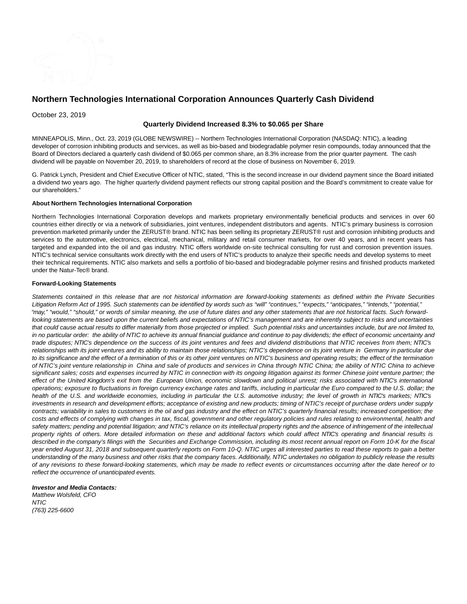

# **Northern Technologies International Corporation Announces Quarterly Cash Dividend**

October 23, 2019

## **Quarterly Dividend Increased 8.3% to \$0.065 per Share**

MINNEAPOLIS, Minn., Oct. 23, 2019 (GLOBE NEWSWIRE) -- Northern Technologies International Corporation (NASDAQ: NTIC), a leading developer of corrosion inhibiting products and services, as well as bio-based and biodegradable polymer resin compounds, today announced that the Board of Directors declared a quarterly cash dividend of \$0.065 per common share, an 8.3% increase from the prior quarter payment. The cash dividend will be payable on November 20, 2019, to shareholders of record at the close of business on November 6, 2019.

G. Patrick Lynch, President and Chief Executive Officer of NTIC, stated, "This is the second increase in our dividend payment since the Board initiated a dividend two years ago. The higher quarterly dividend payment reflects our strong capital position and the Board's commitment to create value for our shareholders."

#### **About Northern Technologies International Corporation**

Northern Technologies International Corporation develops and markets proprietary environmentally beneficial products and services in over 60 countries either directly or via a network of subsidiaries, joint ventures, independent distributors and agents. NTIC's primary business is corrosion prevention marketed primarily under the ZERUST® brand. NTIC has been selling its proprietary ZERUST® rust and corrosion inhibiting products and services to the automotive, electronics, electrical, mechanical, military and retail consumer markets, for over 40 years, and in recent years has targeted and expanded into the oil and gas industry. NTIC offers worldwide on-site technical consulting for rust and corrosion prevention issues. NTIC's technical service consultants work directly with the end users of NTIC's products to analyze their specific needs and develop systems to meet their technical requirements. NTIC also markets and sells a portfolio of bio-based and biodegradable polymer resins and finished products marketed under the Natur-Tec® brand.

#### **Forward-Looking Statements**

Statements contained in this release that are not historical information are forward-looking statements as defined within the Private Securities Litigation Reform Act of 1995. Such statements can be identified by words such as "will" "continues," "expects," "anticipates," "intends," "potential," "may," "would," "should," or words of similar meaning, the use of future dates and any other statements that are not historical facts. Such forwardlooking statements are based upon the current beliefs and expectations of NTIC's management and are inherently subject to risks and uncertainties that could cause actual results to differ materially from those projected or implied. Such potential risks and uncertainties include, but are not limited to, in no particular order: the ability of NTIC to achieve its annual financial guidance and continue to pay dividends; the effect of economic uncertainty and trade disputes; NTIC's dependence on the success of its joint ventures and fees and dividend distributions that NTIC receives from them; NTIC's relationships with its joint ventures and its ability to maintain those relationships; NTIC's dependence on its joint venture in Germany in particular due to its significance and the effect of a termination of this or its other joint ventures on NTIC's business and operating results; the effect of the termination of NTIC's joint venture relationship in China and sale of products and services in China through NTIC China; the ability of NTIC China to achieve significant sales; costs and expenses incurred by NTIC in connection with its ongoing litigation against its former Chinese joint venture partner; the effect of the United Kingdom's exit from the European Union, economic slowdown and political unrest; risks associated with NTIC's international operations; exposure to fluctuations in foreign currency exchange rates and tariffs, including in particular the Euro compared to the U.S. dollar; the health of the U.S. and worldwide economies, including in particular the U.S. automotive industry; the level of growth in NTIC's markets; NTIC's investments in research and development efforts; acceptance of existing and new products; timing of NTIC's receipt of purchase orders under supply contracts; variability in sales to customers in the oil and gas industry and the effect on NTIC's quarterly financial results; increased competition; the costs and effects of complying with changes in tax, fiscal, government and other regulatory policies and rules relating to environmental, health and safety matters; pending and potential litigation; and NTIC's reliance on its intellectual property rights and the absence of infringement of the intellectual property rights of others. More detailed information on these and additional factors which could affect NTIC's operating and financial results is described in the company's filings with the Securities and Exchange Commission, including its most recent annual report on Form 10-K for the fiscal year ended August 31, 2018 and subsequent quarterly reports on Form 10-Q. NTIC urges all interested parties to read these reports to gain a better understanding of the many business and other risks that the company faces. Additionally, NTIC undertakes no obligation to publicly release the results of any revisions to these forward-looking statements, which may be made to reflect events or circumstances occurring after the date hereof or to reflect the occurrence of unanticipated events.

### **Investor and Media Contacts:**

Matthew Wolsfeld, CFO **NTIC** (763) 225-6600